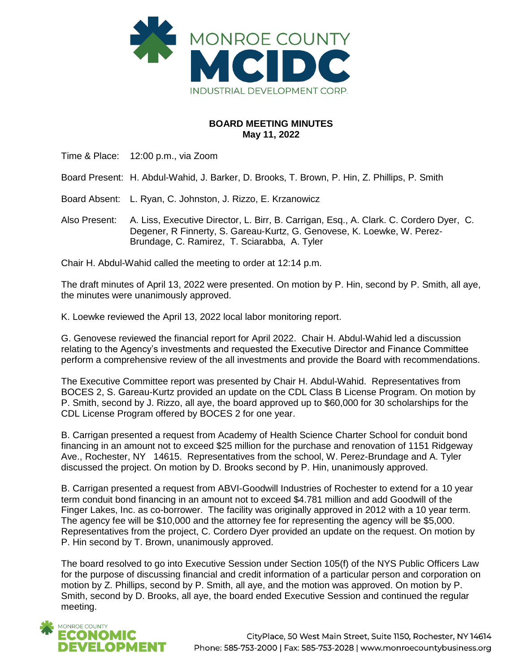

## **BOARD MEETING MINUTES May 11, 2022**

Time & Place: 12:00 p.m., via Zoom

Board Present: H. Abdul-Wahid, J. Barker, D. Brooks, T. Brown, P. Hin, Z. Phillips, P. Smith

Board Absent: L. Ryan, C. Johnston, J. Rizzo, E. Krzanowicz

Also Present: A. Liss, Executive Director, L. Birr, B. Carrigan, Esq., A. Clark. C. Cordero Dyer, C. Degener, R Finnerty, S. Gareau-Kurtz, G. Genovese, K. Loewke, W. Perez-Brundage, C. Ramirez, T. Sciarabba, A. Tyler

Chair H. Abdul-Wahid called the meeting to order at 12:14 p.m.

The draft minutes of April 13, 2022 were presented. On motion by P. Hin, second by P. Smith, all aye, the minutes were unanimously approved.

K. Loewke reviewed the April 13, 2022 local labor monitoring report.

G. Genovese reviewed the financial report for April 2022. Chair H. Abdul-Wahid led a discussion relating to the Agency's investments and requested the Executive Director and Finance Committee perform a comprehensive review of the all investments and provide the Board with recommendations.

The Executive Committee report was presented by Chair H. Abdul-Wahid. Representatives from BOCES 2, S. Gareau-Kurtz provided an update on the CDL Class B License Program. On motion by P. Smith, second by J. Rizzo, all aye, the board approved up to \$60,000 for 30 scholarships for the CDL License Program offered by BOCES 2 for one year.

B. Carrigan presented a request from Academy of Health Science Charter School for conduit bond financing in an amount not to exceed \$25 million for the purchase and renovation of 1151 Ridgeway Ave., Rochester, NY 14615. Representatives from the school, W. Perez-Brundage and A. Tyler discussed the project. On motion by D. Brooks second by P. Hin, unanimously approved.

B. Carrigan presented a request from ABVI-Goodwill Industries of Rochester to extend for a 10 year term conduit bond financing in an amount not to exceed \$4.781 million and add Goodwill of the Finger Lakes, Inc. as co-borrower. The facility was originally approved in 2012 with a 10 year term. The agency fee will be \$10,000 and the attorney fee for representing the agency will be \$5,000. Representatives from the project, C. Cordero Dyer provided an update on the request. On motion by P. Hin second by T. Brown, unanimously approved.

The board resolved to go into Executive Session under Section 105(f) of the NYS Public Officers Law for the purpose of discussing financial and credit information of a particular person and corporation on motion by Z. Phillips, second by P. Smith, all aye, and the motion was approved. On motion by P. Smith, second by D. Brooks, all aye, the board ended Executive Session and continued the regular meeting.